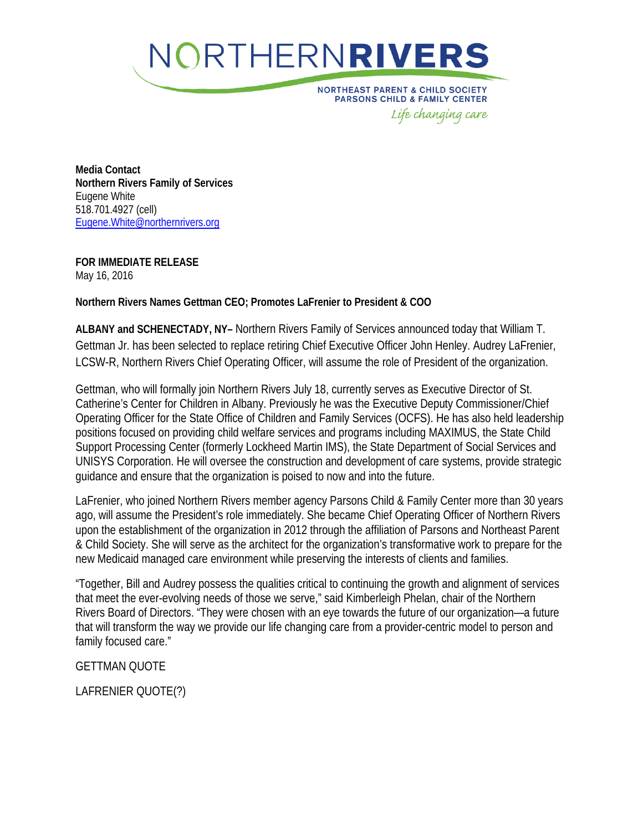

**NORTHEAST PARENT & CHILD SOCIETY** PARSONS CHILD & FAMILY CENTER Life changing care

**Media Contact Northern Rivers Family of Services** Eugene White 518.701.4927 (cell) [Eugene.White@northernrivers.org](mailto:Eugene.White@northernrivers.org)

**FOR IMMEDIATE RELEASE** May 16, 2016

**Northern Rivers Names Gettman CEO; Promotes LaFrenier to President & COO**

**ALBANY and SCHENECTADY, NY–** Northern Rivers Family of Services announced today that William T. Gettman Jr. has been selected to replace retiring Chief Executive Officer John Henley. Audrey LaFrenier, LCSW-R, Northern Rivers Chief Operating Officer, will assume the role of President of the organization.

Gettman, who will formally join Northern Rivers July 18, currently serves as Executive Director of St. Catherine's Center for Children in Albany. Previously he was the Executive Deputy Commissioner/Chief Operating Officer for the State Office of Children and Family Services (OCFS). He has also held leadership positions focused on providing child welfare services and programs including MAXIMUS, the State Child Support Processing Center (formerly Lockheed Martin IMS), the State Department of Social Services and UNISYS Corporation. He will oversee the construction and development of care systems, provide strategic guidance and ensure that the organization is poised to now and into the future.

LaFrenier, who joined Northern Rivers member agency Parsons Child & Family Center more than 30 years ago, will assume the President's role immediately. She became Chief Operating Officer of Northern Rivers upon the establishment of the organization in 2012 through the affiliation of Parsons and Northeast Parent & Child Society. She will serve as the architect for the organization's transformative work to prepare for the new Medicaid managed care environment while preserving the interests of clients and families.

"Together, Bill and Audrey possess the qualities critical to continuing the growth and alignment of services that meet the ever-evolving needs of those we serve," said Kimberleigh Phelan, chair of the Northern Rivers Board of Directors. "They were chosen with an eye towards the future of our organization—a future that will transform the way we provide our life changing care from a provider-centric model to person and family focused care."

GETTMAN QUOTE

LAFRENIER QUOTE(?)